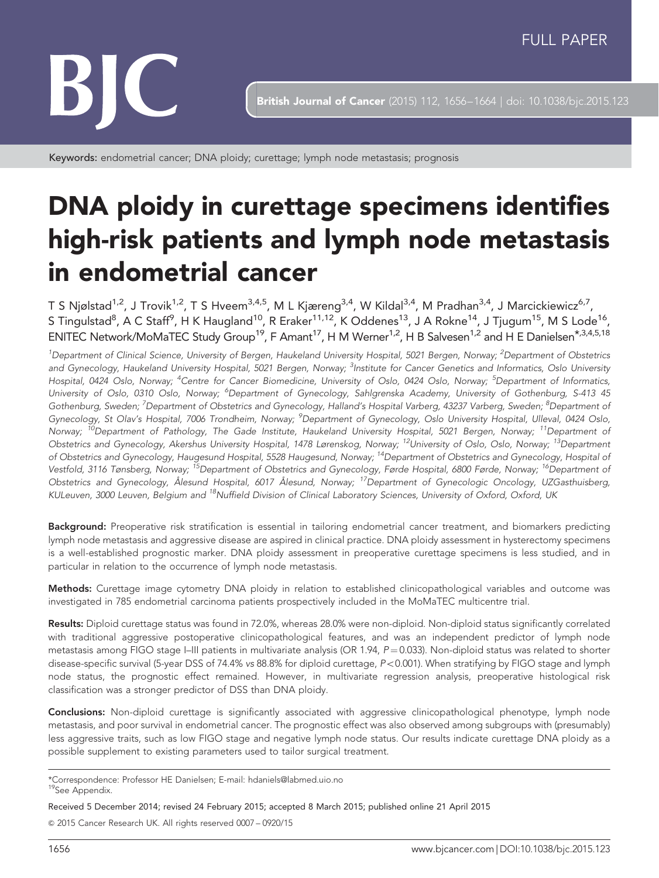

**British Journal of Cancer** (2015) 112, 1656-1664 | doi: 10.1038/bjc.2015.123

Keywords: endometrial cancer; DNA ploidy; curettage; lymph node metastasis; prognosis

# DNA ploidy in curettage specimens identifies high-risk patients and lymph node metastasis in endometrial cancer

T S Njølstad<sup>1,2</sup>, J Trovik<sup>1,2</sup>, T S Hveem<sup>3,4,5</sup>, M L Kjæreng<sup>3,4</sup>, W Kildal<sup>3,4</sup>, M Pradhan<sup>3,4</sup>, J Marcickiewicz<sup>6,7</sup>, <code>STingulstad $^8$ , A C Staff $^9$ , H K Haugland $^{10}$ , R Eraker $^{11,12}$ , K Oddenes $^{13}$ , J A Rokne $^{14}$ , J Tjugum $^{15}$ , M S Lode $^{16}$ ,</code> ENITEC Network/MoMaTEC Study Group<sup>19</sup>, F Amant<sup>17</sup>, H M Werner<sup>1,2</sup>, H B Salvesen<sup>1,2</sup> and H E Danielsen\*,3,4,5,18

<sup>1</sup>Department of Clinical Science, University of Bergen, Haukeland University Hospital, 5021 Bergen, Norway; <sup>2</sup>Department of Obstetrics and Gynecology, Haukeland University Hospital, 5021 Bergen, Norway; <sup>3</sup>Institute for Cancer Genetics and Informatics, Oslo University Hospital, 0424 Oslo, Norway; <sup>4</sup>Centre for Cancer Biomedicine, University of Oslo, 0424 Oslo, Norway; <sup>5</sup>Department of Informatics, University of Oslo, 0310 Oslo, Norway; <sup>6</sup>Department of Gynecology, Sahlgrenska Academy, University of Gothenburg, S-413 45 Gothenburg, Sweden; <sup>7</sup>Department of Obstetrics and Gynecology, Halland's Hospital Varberg, 43237 Varberg, Sweden; <sup>8</sup>Department oi Gynecology, St Olav's Hospital, 7006 Trondheim, Norway; <sup>9</sup>Department of Gynecology, Oslo University Hospital, Ulleval, 0424 Oslo, Norway; <sup>10</sup>Department of Pathology, The Gade Institute, Haukeland University Hospital, 5021 Bergen, Norway; <sup>11</sup>Department of Obstetrics and Gynecology, Akershus University Hospital, 1478 Lørenskog, Norway; 12University of Oslo, Oslo, Norway; 13Department of Obstetrics and Gynecology, Haugesund Hospital, 5528 Haugesund, Norway; <sup>14</sup>Department of Obstetrics and Gynecology, Hospital of Vestfold, 3116 Tønsberg, Norway; <sup>15</sup>Department of Obstetrics and Gynecology, Førde Hospital, 6800 Førde, Norway; <sup>16</sup>Department of Obstetrics and Gynecology, Ålesund Hospital, 6017 Ålesund, Norway; 17Department of Gynecologic Oncology, UZGasthuisberg, KULeuven, 3000 Leuven, Belgium and <sup>18</sup>Nuffield Division of Clinical Laboratory Sciences, University of Oxford, Oxford, UK

Background: Preoperative risk stratification is essential in tailoring endometrial cancer treatment, and biomarkers predicting lymph node metastasis and aggressive disease are aspired in clinical practice. DNA ploidy assessment in hysterectomy specimens is a well-established prognostic marker. DNA ploidy assessment in preoperative curettage specimens is less studied, and in particular in relation to the occurrence of lymph node metastasis.

Methods: Curettage image cytometry DNA ploidy in relation to established clinicopathological variables and outcome was investigated in 785 endometrial carcinoma patients prospectively included in the MoMaTEC multicentre trial.

Results: Diploid curettage status was found in 72.0%, whereas 28.0% were non-diploid. Non-diploid status significantly correlated with traditional aggressive postoperative clinicopathological features, and was an independent predictor of lymph node metastasis among FIGO stage I–III patients in multivariate analysis (OR 1.94,  $P = 0.033$ ). Non-diploid status was related to shorter disease-specific survival (5-year DSS of 74.4% vs 88.8% for diploid curettage,  $P < 0.001$ ). When stratifying by FIGO stage and lymph node status, the prognostic effect remained. However, in multivariate regression analysis, preoperative histological risk classification was a stronger predictor of DSS than DNA ploidy.

Conclusions: Non-diploid curettage is significantly associated with aggressive clinicopathological phenotype, lymph node metastasis, and poor survival in endometrial cancer. The prognostic effect was also observed among subgroups with (presumably) less aggressive traits, such as low FIGO stage and negative lymph node status. Our results indicate curettage DNA ploidy as a possible supplement to existing parameters used to tailor surgical treatment.

\*Correspondence: Professor HE Danielsen; E-mail: [hdaniels@labmed.uio.no](mailto:hdaniels@labmed.uio.no) <sup>19</sup>See Appendix.

Received 5 December 2014; revised 24 February 2015; accepted 8 March 2015; published online 21 April 2015

& 2015 Cancer Research UK. All rights reserved 0007 – 0920/15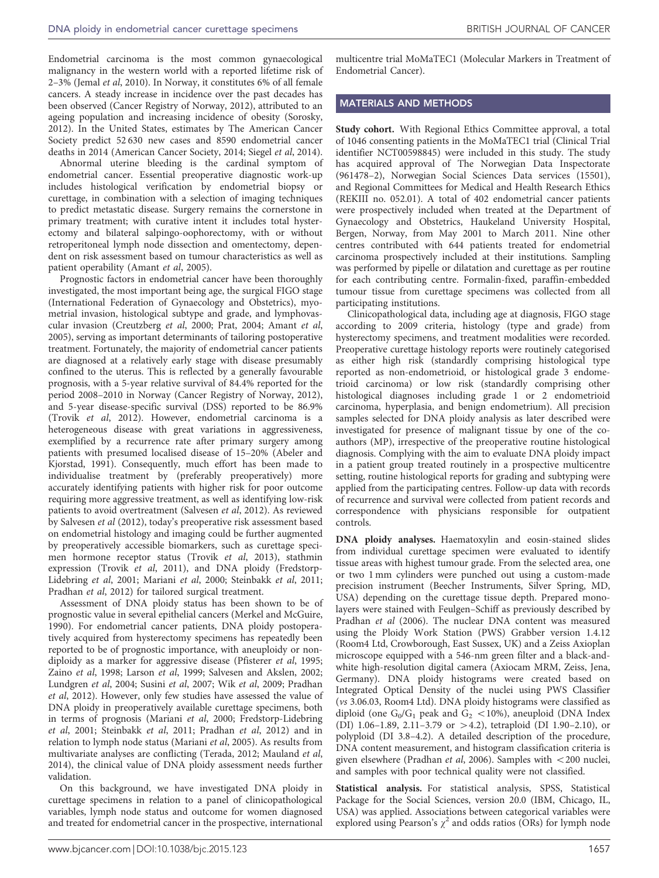Endometrial carcinoma is the most common gynaecological malignancy in the western world with a reported lifetime risk of 2–3% (Jemal et al[, 2010\)](#page-7-0). In Norway, it constitutes 6% of all female cancers. A steady increase in incidence over the past decades has been observed [\(Cancer Registry of Norway, 2012\)](#page-7-0), attributed to an ageing population and increasing incidence of obesity ([Sorosky,](#page-7-0) [2012](#page-7-0)). In the United States, estimates by The American Cancer Society predict 52 630 new cases and 8590 endometrial cancer deaths in 2014 ([American Cancer Society, 2014](#page-7-0); Siegel et al[, 2014](#page-7-0)).

Abnormal uterine bleeding is the cardinal symptom of endometrial cancer. Essential preoperative diagnostic work-up includes histological verification by endometrial biopsy or curettage, in combination with a selection of imaging techniques to predict metastatic disease. Surgery remains the cornerstone in primary treatment; with curative intent it includes total hysterectomy and bilateral salpingo-oophorectomy, with or without retroperitoneal lymph node dissection and omentectomy, dependent on risk assessment based on tumour characteristics as well as patient operability [\(Amant](#page-7-0) et al, 2005).

Prognostic factors in endometrial cancer have been thoroughly investigated, the most important being age, the surgical FIGO stage (International Federation of Gynaecology and Obstetrics), myometrial invasion, histological subtype and grade, and lymphovascular invasion ([Creutzberg](#page-7-0) et al, 2000; [Prat, 2004](#page-7-0); [Amant](#page-7-0) et al, [2005](#page-7-0)), serving as important determinants of tailoring postoperative treatment. Fortunately, the majority of endometrial cancer patients are diagnosed at a relatively early stage with disease presumably confined to the uterus. This is reflected by a generally favourable prognosis, with a 5-year relative survival of 84.4% reported for the period 2008–2010 in Norway ([Cancer Registry of Norway, 2012](#page-7-0)), and 5-year disease-specific survival (DSS) reported to be 86.9% (Trovik et al[, 2012\)](#page-7-0). However, endometrial carcinoma is a heterogeneous disease with great variations in aggressiveness, exemplified by a recurrence rate after primary surgery among patients with presumed localised disease of 15–20% ([Abeler and](#page-7-0) [Kjorstad, 1991\)](#page-7-0). Consequently, much effort has been made to individualise treatment by (preferably preoperatively) more accurately identifying patients with higher risk for poor outcome requiring more aggressive treatment, as well as identifying low-risk patients to avoid overtreatment [\(Salvesen](#page-7-0) et al, 2012). As reviewed by [Salvesen](#page-7-0) et al (2012), today's preoperative risk assessment based on endometrial histology and imaging could be further augmented by preoperatively accessible biomarkers, such as curettage specimen hormone receptor status (Trovik et al[, 2013\)](#page-7-0), stathmin expression [\(Trovik](#page-7-0) et al, 2011), and DNA ploidy [\(Fredstorp-](#page-7-0)[Lidebring](#page-7-0) et al, 2001; [Mariani](#page-7-0) et al, 2000; [Steinbakk](#page-7-0) et al, 2011; [Pradhan](#page-7-0) et al, 2012) for tailored surgical treatment.

Assessment of DNA ploidy status has been shown to be of prognostic value in several epithelial cancers [\(Merkel and McGuire,](#page-7-0) [1990](#page-7-0)). For endometrial cancer patients, DNA ploidy postoperatively acquired from hysterectomy specimens has repeatedly been reported to be of prognostic importance, with aneuploidy or nondiploidy as a marker for aggressive disease ([Pfisterer](#page-7-0) et al, 1995; Zaino et al[, 1998; Larson](#page-7-0) et al, 1999; [Salvesen and Akslen, 2002;](#page-7-0) [Lundgren](#page-7-0) et al, 2004; Susini et al[, 2007;](#page-7-0) Wik et al[, 2009](#page-7-0); [Pradhan](#page-7-0) et al[, 2012\)](#page-7-0). However, only few studies have assessed the value of DNA ploidy in preoperatively available curettage specimens, both in terms of prognosis [\(Mariani](#page-7-0) et al, 2000; [Fredstorp-Lidebring](#page-7-0) et al[, 2001](#page-7-0); [Steinbakk](#page-7-0) et al, 2011; [Pradhan](#page-7-0) et al, 2012) and in relation to lymph node status ([Mariani](#page-7-0) et al, 2005). As results from multivariate analyses are conflicting ([Terada, 2012](#page-7-0); [Mauland](#page-7-0) et al, [2014](#page-7-0)), the clinical value of DNA ploidy assessment needs further validation.

On this background, we have investigated DNA ploidy in curettage specimens in relation to a panel of clinicopathological variables, lymph node status and outcome for women diagnosed and treated for endometrial cancer in the prospective, international multicentre trial MoMaTEC1 (Molecular Markers in Treatment of Endometrial Cancer).

### MATERIALS AND METHODS

Study cohort. With Regional Ethics Committee approval, a total of 1046 consenting patients in the MoMaTEC1 trial (Clinical Trial identifier NCT00598845) were included in this study. The study has acquired approval of The Norwegian Data Inspectorate (961478–2), Norwegian Social Sciences Data services (15501), and Regional Committees for Medical and Health Research Ethics (REKIII no. 052.01). A total of 402 endometrial cancer patients were prospectively included when treated at the Department of Gynaecology and Obstetrics, Haukeland University Hospital, Bergen, Norway, from May 2001 to March 2011. Nine other centres contributed with 644 patients treated for endometrial carcinoma prospectively included at their institutions. Sampling was performed by pipelle or dilatation and curettage as per routine for each contributing centre. Formalin-fixed, paraffin-embedded tumour tissue from curettage specimens was collected from all participating institutions.

Clinicopathological data, including age at diagnosis, FIGO stage according to 2009 criteria, histology (type and grade) from hysterectomy specimens, and treatment modalities were recorded. Preoperative curettage histology reports were routinely categorised as either high risk (standardly comprising histological type reported as non-endometrioid, or histological grade 3 endometrioid carcinoma) or low risk (standardly comprising other histological diagnoses including grade 1 or 2 endometrioid carcinoma, hyperplasia, and benign endometrium). All precision samples selected for DNA ploidy analysis as later described were investigated for presence of malignant tissue by one of the coauthors (MP), irrespective of the preoperative routine histological diagnosis. Complying with the aim to evaluate DNA ploidy impact in a patient group treated routinely in a prospective multicentre setting, routine histological reports for grading and subtyping were applied from the participating centres. Follow-up data with records of recurrence and survival were collected from patient records and correspondence with physicians responsible for outpatient controls.

DNA ploidy analyses. Haematoxylin and eosin-stained slides from individual curettage specimen were evaluated to identify tissue areas with highest tumour grade. From the selected area, one or two 1 mm cylinders were punched out using a custom-made precision instrument (Beecher Instruments, Silver Spring, MD, USA) depending on the curettage tissue depth. Prepared monolayers were stained with Feulgen–Schiff as previously described by [Pradhan](#page-7-0) et al (2006). The nuclear DNA content was measured using the Ploidy Work Station (PWS) Grabber version 1.4.12 (Room4 Ltd, Crowborough, East Sussex, UK) and a Zeiss Axioplan microscope equipped with a 546-nm green filter and a black-andwhite high-resolution digital camera (Axiocam MRM, Zeiss, Jena, Germany). DNA ploidy histograms were created based on Integrated Optical Density of the nuclei using PWS Classifier (vs 3.06.03, Room4 Ltd). DNA ploidy histograms were classified as diploid (one  $G_0/G_1$  peak and  $G_2$  < 10%), aneuploid (DNA Index (DI) 1.06–1.89, 2.11–3.79 or  $>4.2$ ), tetraploid (DI 1.90–2.10), or polyploid (DI 3.8–4.2). A detailed description of the procedure, DNA content measurement, and histogram classification criteria is given elsewhere [\(Pradhan](#page-7-0) et al, 2006). Samples with  $<$  200 nuclei, and samples with poor technical quality were not classified.

Statistical analysis. For statistical analysis, SPSS, Statistical Package for the Social Sciences, version 20.0 (IBM, Chicago, IL, USA) was applied. Associations between categorical variables were explored using Pearson's  $\chi^2$  and odds ratios (ORs) for lymph node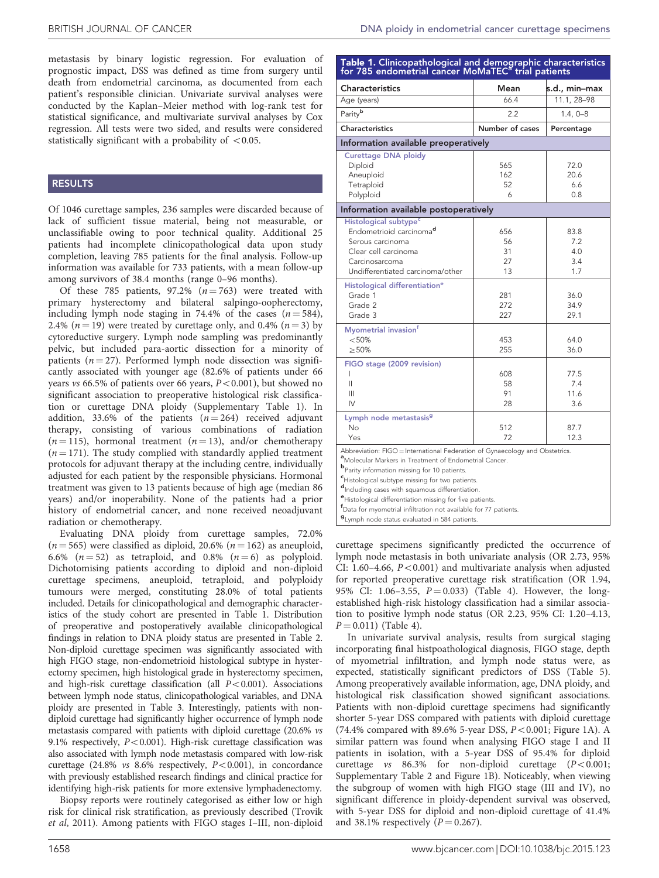<span id="page-2-0"></span>metastasis by binary logistic regression. For evaluation of prognostic impact, DSS was defined as time from surgery until death from endometrial carcinoma, as documented from each patient's responsible clinician. Univariate survival analyses were conducted by the Kaplan–Meier method with log-rank test for statistical significance, and multivariate survival analyses by Cox regression. All tests were two sided, and results were considered statistically significant with a probability of  $\langle 0.05$ .

## RESULTS

Of 1046 curettage samples, 236 samples were discarded because of lack of sufficient tissue material, being not measurable, or unclassifiable owing to poor technical quality. Additional 25 patients had incomplete clinicopathological data upon study completion, leaving 785 patients for the final analysis. Follow-up information was available for 733 patients, with a mean follow-up among survivors of 38.4 months (range 0–96 months).

Of these 785 patients, 97.2%  $(n = 763)$  were treated with primary hysterectomy and bilateral salpingo-oopherectomy, including lymph node staging in 74.4% of the cases  $(n = 584)$ , 2.4% ( $n = 19$ ) were treated by curettage only, and 0.4% ( $n = 3$ ) by cytoreductive surgery. Lymph node sampling was predominantly pelvic, but included para-aortic dissection for a minority of patients ( $n = 27$ ). Performed lymph node dissection was significantly associated with younger age (82.6% of patients under 66 years vs 66.5% of patients over 66 years,  $P < 0.001$ ), but showed no significant association to preoperative histological risk classification or curettage DNA ploidy (Supplementary Table 1). In addition, 33.6% of the patients  $(n = 264)$  received adjuvant therapy, consisting of various combinations of radiation  $(n = 115)$ , hormonal treatment  $(n = 13)$ , and/or chemotherapy  $(n = 171)$ . The study complied with standardly applied treatment protocols for adjuvant therapy at the including centre, individually adjusted for each patient by the responsible physicians. Hormonal treatment was given to 13 patients because of high age (median 86 years) and/or inoperability. None of the patients had a prior history of endometrial cancer, and none received neoadjuvant radiation or chemotherapy.

Evaluating DNA ploidy from curettage samples, 72.0%  $(n = 565)$  were classified as diploid, 20.6%  $(n = 162)$  as aneuploid, 6.6%  $(n = 52)$  as tetraploid, and 0.8%  $(n = 6)$  as polyploid. Dichotomising patients according to diploid and non-diploid curettage specimens, aneuploid, tetraploid, and polyploidy tumours were merged, constituting 28.0% of total patients included. Details for clinicopathological and demographic characteristics of the study cohort are presented in Table 1. Distribution of preoperative and postoperatively available clinicopathological findings in relation to DNA ploidy status are presented in [Table 2.](#page-3-0) Non-diploid curettage specimen was significantly associated with high FIGO stage, non-endometrioid histological subtype in hysterectomy specimen, high histological grade in hysterectomy specimen, and high-risk curettage classification (all  $P < 0.001$ ). Associations between lymph node status, clinicopathological variables, and DNA ploidy are presented in [Table 3](#page-3-0). Interestingly, patients with nondiploid curettage had significantly higher occurrence of lymph node metastasis compared with patients with diploid curettage (20.6% vs 9.1% respectively,  $P < 0.001$ ). High-risk curettage classification was also associated with lymph node metastasis compared with low-risk curettage (24.8% vs  $8.6\%$  respectively,  $P<0.001$ ), in concordance with previously established research findings and clinical practice for identifying high-risk patients for more extensive lymphadenectomy.

Biopsy reports were routinely categorised as either low or high risk for clinical risk stratification, as previously described ([Trovik](#page-7-0) et al[, 2011](#page-7-0)). Among patients with FIGO stages I–III, non-diploid

# Table 1. Clinicopathological and demographic characteristics for 785 endometrial cancer MoMaTEC<sup>a</sup> trial patients

| <b>Characteristics</b>                                                                                                                                                                                                                                                                                                                                                                                               | Mean                        | s.d., min–max                    |  |  |  |  |  |
|----------------------------------------------------------------------------------------------------------------------------------------------------------------------------------------------------------------------------------------------------------------------------------------------------------------------------------------------------------------------------------------------------------------------|-----------------------------|----------------------------------|--|--|--|--|--|
| Age (years)                                                                                                                                                                                                                                                                                                                                                                                                          | 66.4                        | 11.1, 28-98                      |  |  |  |  |  |
| Parityb                                                                                                                                                                                                                                                                                                                                                                                                              | 2.2                         | $1.4, 0 - 8$                     |  |  |  |  |  |
| Characteristics                                                                                                                                                                                                                                                                                                                                                                                                      | Number of cases             | Percentage                       |  |  |  |  |  |
| Information available preoperatively                                                                                                                                                                                                                                                                                                                                                                                 |                             |                                  |  |  |  |  |  |
| Curettage DNA ploidy<br>Diploid<br>Aneuploid<br>Tetraploid<br>Polyploid                                                                                                                                                                                                                                                                                                                                              | 565<br>162<br>52<br>6       | 72.0<br>20.6<br>6.6<br>0.8       |  |  |  |  |  |
| Information available postoperatively                                                                                                                                                                                                                                                                                                                                                                                |                             |                                  |  |  |  |  |  |
| Histological subtype <sup>c</sup><br>Endometrioid carcinoma <sup>d</sup><br>Serous carcinoma<br>Clear cell carcinoma<br>Carcinosarcoma<br>Undifferentiated carcinoma/other                                                                                                                                                                                                                                           | 656<br>56<br>31<br>27<br>13 | 83.8<br>7.2<br>4.0<br>3.4<br>1.7 |  |  |  |  |  |
| Histological differentiation <sup>e</sup><br>Grade 1<br>Grade 2<br>Grade 3                                                                                                                                                                                                                                                                                                                                           | 281<br>272<br>227           | 36.0<br>34.9<br>29.1             |  |  |  |  |  |
| Myometrial invasion <sup>f</sup><br>< 50%<br>>50%                                                                                                                                                                                                                                                                                                                                                                    | 453<br>255                  | 64.0<br>36.0                     |  |  |  |  |  |
| FIGO stage (2009 revision)<br>I<br>Ш<br>Ш<br>IV                                                                                                                                                                                                                                                                                                                                                                      | 608<br>58<br>91<br>28       | 77.5<br>7.4<br>11.6<br>3.6       |  |  |  |  |  |
| Lymph node metastasis <sup>9</sup><br>No<br>Yes                                                                                                                                                                                                                                                                                                                                                                      | 512<br>72                   | 87.7<br>12.3                     |  |  |  |  |  |
| Abbreviation: FIGO = International Federation of Gynaecology and Obstetrics.<br><sup>a</sup> Molecular Markers in Treatment of Endometrial Cancer.<br><sup>b</sup> Parity information missing for 10 patients.<br><sup>c</sup> Histological subtype missing for two patients.<br>d <sub>Including cases with squamous differentiation.</sub><br><sup>e</sup> Histological differentiation missing for five patients. |                             |                                  |  |  |  |  |  |

f Data for myometrial infiltration not available for 77 patients.

g Lymph node status evaluated in 584 patients.

curettage specimens significantly predicted the occurrence of lymph node metastasis in both univariate analysis (OR 2.73, 95% CI: 1.60–4.66,  $P < 0.001$ ) and multivariate analysis when adjusted for reported preoperative curettage risk stratification (OR 1.94, 95% CI: 1.06-3.55,  $P = 0.033$ ) [\(Table 4](#page-4-0)). However, the longestablished high-risk histology classification had a similar association to positive lymph node status (OR 2.23, 95% CI: 1.20–4.13,  $P = 0.011$ ) [\(Table 4](#page-4-0)).

In univariate survival analysis, results from surgical staging incorporating final histpoathological diagnosis, FIGO stage, depth of myometrial infiltration, and lymph node status were, as expected, statistically significant predictors of DSS ([Table 5](#page-4-0)). Among preoperatively available information, age, DNA ploidy, and histological risk classification showed significant associations. Patients with non-diploid curettage specimens had significantly shorter 5-year DSS compared with patients with diploid curettage (74.4% compared with 89.6% 5-year DSS,  $P < 0.001$ ; [Figure 1A](#page-5-0)). A similar pattern was found when analysing FIGO stage I and II patients in isolation, with a 5-year DSS of 95.4% for diploid curettage vs  $86.3\%$  for non-diploid curettage  $(P<0.001;$ Supplementary Table 2 and [Figure 1B](#page-5-0)). Noticeably, when viewing the subgroup of women with high FIGO stage (III and IV), no significant difference in ploidy-dependent survival was observed, with 5-year DSS for diploid and non-diploid curettage of 41.4% and 38.1% respectively  $(P = 0.267)$ .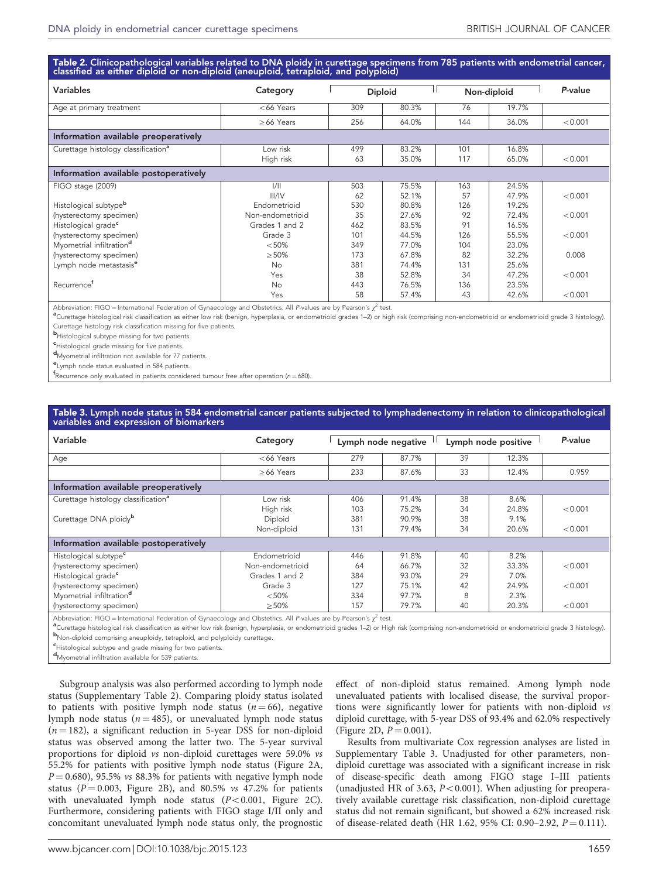<span id="page-3-0"></span>Ta<mark>ble 2.</mark> Clinicopathological variables related to DNA ploidy in curettage specimens from 785 patients with endometrial cancer,<br>classified as either diploid or non-diploid (aneuploid, tetraploid, and polyploid)

| Variables                                       | Category         | <b>Diploid</b> |       | Non-diploid |       | P-value |  |  |
|-------------------------------------------------|------------------|----------------|-------|-------------|-------|---------|--|--|
| Age at primary treatment                        | $<$ 66 Years     | 309            | 80.3% | 76          | 19.7% |         |  |  |
|                                                 | $>66$ Years      | 256            | 64.0% | 144         | 36.0% | < 0.001 |  |  |
| Information available preoperatively            |                  |                |       |             |       |         |  |  |
| Curettage histology classification <sup>a</sup> | Low risk         | 499            | 83.2% | 101         | 16.8% |         |  |  |
|                                                 | High risk        | 63             | 35.0% | 117         | 65.0% | < 0.001 |  |  |
| Information available postoperatively           |                  |                |       |             |       |         |  |  |
| FIGO stage (2009)                               | 1/11             | 503            | 75.5% | 163         | 24.5% |         |  |  |
|                                                 | III/IV           | 62             | 52.1% | 57          | 47.9% | < 0.001 |  |  |
| Histological subtype <sup>b</sup>               | Endometrioid     | 530            | 80.8% | 126         | 19.2% |         |  |  |
| (hysterectomy specimen)                         | Non-endometrioid | 35             | 27.6% | 92          | 72.4% | < 0.001 |  |  |
| Histological grade <sup>c</sup>                 | Grades 1 and 2   | 462            | 83.5% | 91          | 16.5% |         |  |  |
| (hysterectomy specimen)                         | Grade 3          | 101            | 44.5% | 126         | 55.5% | < 0.001 |  |  |
| Myometrial infiltration <sup>d</sup>            | < 50%            | 349            | 77.0% | 104         | 23.0% |         |  |  |
| (hysterectomy specimen)                         | >50%             | 173            | 67.8% | 82          | 32.2% | 0.008   |  |  |
| Lymph node metastasis <sup>e</sup>              | <b>No</b>        | 381            | 74.4% | 131         | 25.6% |         |  |  |
|                                                 | Yes              | 38             | 52.8% | 34          | 47.2% | < 0.001 |  |  |
| Recurrence <sup>t</sup>                         | No               | 443            | 76.5% | 136         | 23.5% |         |  |  |
|                                                 | Yes              | 58             | 57.4% | 43          | 42.6% | < 0.001 |  |  |

Abbreviation: FIGO = International Federation of Gynaecology and Obstetrics. All P-values are by Pearson's  $\chi^2$  test.

a<br>Curettage histological risk classification as either low risk (benign, hyperplasia, or endometrioid grades 1–2) or high risk (comprising non-endometrioid or endometrioid grade 3 histology) Curettage histology risk classification missing for five patients.

b Histological subtype missing for two patients.

c Histological grade missing for five patients.

d Myometrial infiltration not available for 77 patients.

e<br>Lymph node status evaluated in 584 patients.

 $f$ Recurrence only evaluated in patients considered tumour free after operation (n = 680).

# Table 3. Lymph node status in 584 endometrial cancer patients subjected to lymphadenectomy in relation to clinicopathological<br>variables and expression of biomarkers

| Variable                                        | Category         | Lymph node negative |       | Lymph node positive |       | P-value |  |  |
|-------------------------------------------------|------------------|---------------------|-------|---------------------|-------|---------|--|--|
| Age                                             | $<$ 66 Years     | 279                 | 87.7% | 39                  | 12.3% |         |  |  |
|                                                 | $>66$ Years      | 233                 | 87.6% | 33                  | 12.4% | 0.959   |  |  |
| Information available preoperatively            |                  |                     |       |                     |       |         |  |  |
| Curettage histology classification <sup>a</sup> | Low risk         | 406                 | 91.4% | 38                  | 8.6%  |         |  |  |
|                                                 | High risk        | 103                 | 75.2% | 34                  | 24.8% | < 0.001 |  |  |
| Curettage DNA ploidy <sup>b</sup>               | Diploid          | 381                 | 90.9% | 38                  | 9.1%  |         |  |  |
|                                                 | Non-diploid      | 131                 | 79.4% | 34                  | 20.6% | < 0.001 |  |  |
| Information available postoperatively           |                  |                     |       |                     |       |         |  |  |
| Histological subtype <sup>c</sup>               | Endometrioid     | 446                 | 91.8% | 40                  | 8.2%  |         |  |  |
| (hysterectomy specimen)                         | Non-endometrioid | 64                  | 66.7% | 32                  | 33.3% | < 0.001 |  |  |
| Histological grade <sup>c</sup>                 | Grades 1 and 2   | 384                 | 93.0% | 29                  | 7.0%  |         |  |  |
| (hysterectomy specimen)                         | Grade 3          | 127                 | 75.1% | 42                  | 24.9% | < 0.001 |  |  |
| Myometrial infiltration <sup>d</sup>            | < 50%            | 334                 | 97.7% | 8                   | 2.3%  |         |  |  |
| (hysterectomy specimen)                         | >50%             | 157                 | 79.7% | 40                  | 20.3% | < 0.001 |  |  |

Abbreviation: FIGO = International Federation of Gynaecology and Obstetrics. All P-values are by Pearson's  $\chi^2$  test.

<sup>a</sup>Curettage histological risk classification as either low risk (benign, hyperplasia, or endometrioid grades 1–2) or High risk (comprising non-endometrioid or endometrioid grade 3 histology) bNon-diploid comprising aneuploidy, tetraploid, and polyploidy curettage

**c**Histological subtype and grade missing for two patients.

d Myometrial infiltration available for 539 patients.

Subgroup analysis was also performed according to lymph node status (Supplementary Table 2). Comparing ploidy status isolated to patients with positive lymph node status ( $n = 66$ ), negative lymph node status ( $n = 485$ ), or unevaluated lymph node status  $(n = 182)$ , a significant reduction in 5-year DSS for non-diploid status was observed among the latter two. The 5-year survival proportions for diploid vs non-diploid curettages were 59.0% vs 55.2% for patients with positive lymph node status [\(Figure 2A,](#page-6-0)  $P = 0.680$ , 95.5% vs 88.3% for patients with negative lymph node status ( $P = 0.003$ , [Figure 2B\)](#page-6-0), and 80.5% vs 47.2% for patients with unevaluated lymph node status  $(P<0.001$ , [Figure 2C](#page-6-0)). Furthermore, considering patients with FIGO stage I/II only and concomitant unevaluated lymph node status only, the prognostic

effect of non-diploid status remained. Among lymph node unevaluated patients with localised disease, the survival proportions were significantly lower for patients with non-diploid vs diploid curettage, with 5-year DSS of 93.4% and 62.0% respectively ([Figure 2D,](#page-6-0)  $P = 0.001$ ).

Results from multivariate Cox regression analyses are listed in Supplementary Table 3. Unadjusted for other parameters, nondiploid curettage was associated with a significant increase in risk of disease-specific death among FIGO stage I–III patients (unadjusted HR of 3.63,  $P < 0.001$ ). When adjusting for preoperatively available curettage risk classification, non-diploid curettage status did not remain significant, but showed a 62% increased risk of disease-related death (HR 1.62, 95% CI: 0.90-2.92,  $P = 0.111$ ).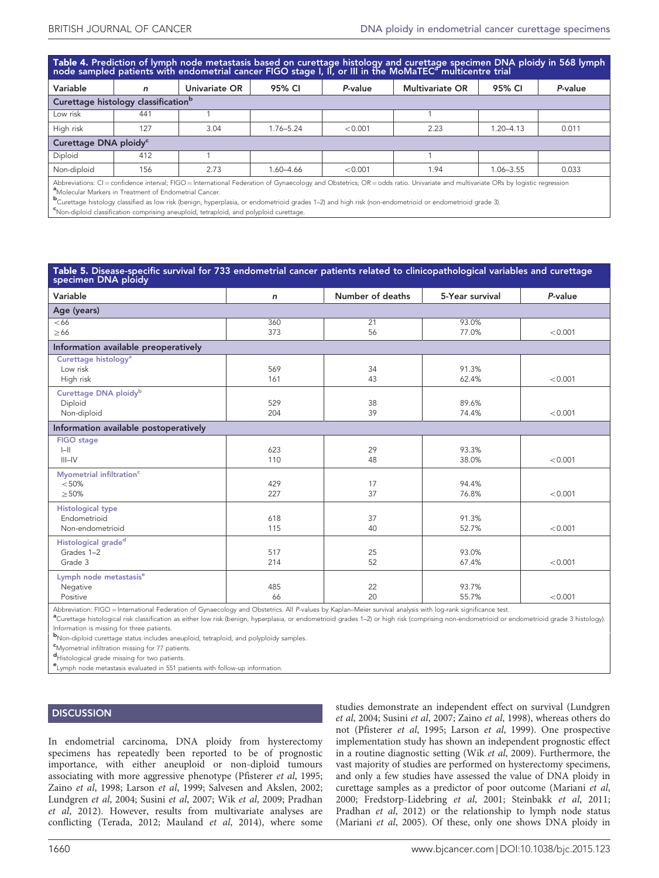<span id="page-4-0"></span>Table 4. Prediction of lymph node metastasis based on curettage histology and curettage specimen DNA ploidy in 568 lymph<br>node sampled patients with endometrial cancer FIGO stage I. II. or III in the MoMaTEC<sup>a</sup> multicentre

| <u>the side administration in the community street administration and also the street in the three international and alternational street</u>                                                                                                      |     |               |               |         |                        |               |         |
|----------------------------------------------------------------------------------------------------------------------------------------------------------------------------------------------------------------------------------------------------|-----|---------------|---------------|---------|------------------------|---------------|---------|
| Variable                                                                                                                                                                                                                                           | n   | Univariate OR | 95% CI        | P-value | <b>Multivariate OR</b> | 95% CI        | P-value |
| Curettage histology classification <sup>b</sup>                                                                                                                                                                                                    |     |               |               |         |                        |               |         |
| Low risk                                                                                                                                                                                                                                           | 441 |               |               |         |                        |               |         |
| High risk                                                                                                                                                                                                                                          | 127 | 3.04          | $1.76 - 5.24$ | < 0.001 | 2.23                   | $1.20 - 4.13$ | 0.011   |
| Curettage DNA ploidy <sup>c</sup>                                                                                                                                                                                                                  |     |               |               |         |                        |               |         |
| Diploid                                                                                                                                                                                                                                            | 412 |               |               |         |                        |               |         |
| Non-diploid                                                                                                                                                                                                                                        | 156 | 2.73          | 1.60-4.66     | < 0.001 | 1.94                   | 1.06-3.55     | 0.033   |
| Abbreviations: CI= confidence interval; FIGO= International Federation of Gynaecology and Obstetrics; OR= odds ratio. Univariate and multivariate ORs by logistic regression<br><sup>a</sup> Molecular Markers in Treatment of Endometrial Cancer. |     |               |               |         |                        |               |         |

**b**Curettage histology classified as low risk (benign, hyperplasia, or endometrioid grades 1–2) and high risk (non-endometrioid or endometrioid grade 3).<br>Shlan diplaid eleccification comprision equiplaid eternicial and nel

Non-diploid classification comprising aneuploid, tetraploid, and polyploid curettage.

| Table 5. Disease-specific survival for 733 endometrial cancer patients related to clinicopathological variables and curettage<br>specimen DNA ploidy |            |                  |                 |         |  |  |  |  |
|------------------------------------------------------------------------------------------------------------------------------------------------------|------------|------------------|-----------------|---------|--|--|--|--|
| Variable                                                                                                                                             | n          | Number of deaths | 5-Year survival | P-value |  |  |  |  |
| Age (years)                                                                                                                                          |            |                  |                 |         |  |  |  |  |
| <66                                                                                                                                                  | 360        | 21               | 93.0%           |         |  |  |  |  |
| $\geq 66$                                                                                                                                            | 373        | 56               | 77.0%           | < 0.001 |  |  |  |  |
| Information available preoperatively                                                                                                                 |            |                  |                 |         |  |  |  |  |
| Curettage histology <sup>a</sup><br>Low risk                                                                                                         | 569        | 34               | 91.3%           |         |  |  |  |  |
| High risk                                                                                                                                            | 161        | 43               | 62.4%           | < 0.001 |  |  |  |  |
| Curettage DNA ploidy <sup>b</sup>                                                                                                                    |            |                  |                 |         |  |  |  |  |
| Diploid<br>Non-diploid                                                                                                                               | 529<br>204 | 38<br>39         | 89.6%<br>74.4%  | < 0.001 |  |  |  |  |
|                                                                                                                                                      |            |                  |                 |         |  |  |  |  |
| Information available postoperatively                                                                                                                |            |                  |                 |         |  |  |  |  |
| <b>FIGO</b> stage<br>$\left  - \right $                                                                                                              | 623        | 29               | 93.3%           |         |  |  |  |  |
| $III$ -IV                                                                                                                                            | 110        | 48               | 38.0%           | < 0.001 |  |  |  |  |
| Myometrial infiltration <sup>c</sup>                                                                                                                 |            |                  |                 |         |  |  |  |  |
| < 50%                                                                                                                                                | 429        | 17               | 94.4%           |         |  |  |  |  |
| >50%                                                                                                                                                 | 227        | 37               | 76.8%           | < 0.001 |  |  |  |  |
| <b>Histological type</b>                                                                                                                             |            |                  |                 |         |  |  |  |  |
| Endometrioid                                                                                                                                         | 618        | 37               | 91.3%           |         |  |  |  |  |
| Non-endometrioid                                                                                                                                     | 115        | 40               | 52.7%           | < 0.001 |  |  |  |  |
| Histological grade <sup>d</sup>                                                                                                                      |            |                  |                 |         |  |  |  |  |
| Grades 1-2                                                                                                                                           | 517        | 25               | 93.0%           |         |  |  |  |  |
| Grade 3                                                                                                                                              | 214        | 52               | 67.4%           | < 0.001 |  |  |  |  |
| Lymph node metastasis <sup>e</sup>                                                                                                                   |            |                  |                 |         |  |  |  |  |
| Negative<br>Positive                                                                                                                                 | 485        | 22<br>20         | 93.7%           | < 0.001 |  |  |  |  |
|                                                                                                                                                      | 66         |                  | 55.7%           |         |  |  |  |  |

Abbreviation: FIGO = International Federation of Gynaecology and Obstetrics. All P-values by Kaplan–Meier survival analysis with log-rank significance test.

Curettage histological risk classification as either low risk (benign, hyperplasia, or endometrioid grades 1–2) or high risk (comprising non-endometrioid or endometrioid grade 3 histology). Information is missing for three patients.

b Non-diploid curettage status includes aneuploid, tetraploid, and polyploidy samples.

c Myometrial infiltration missing for 77 patients.

d Histological grade missing for two patients.

e Lymph node metastasis evaluated in 551 patients with follow-up information.

### **DISCUSSION**

In endometrial carcinoma, DNA ploidy from hysterectomy specimens has repeatedly been reported to be of prognostic importance, with either aneuploid or non-diploid tumours associating with more aggressive phenotype ([Pfisterer](#page-7-0) et al, 1995; Zaino et al[, 1998; Larson](#page-7-0) et al, 1999; [Salvesen and Akslen, 2002;](#page-7-0) [Lundgren](#page-7-0) et al, 2004; Susini et al[, 2007;](#page-7-0) Wik et al[, 2009](#page-7-0); [Pradhan](#page-7-0) et al[, 2012](#page-7-0)). However, results from multivariate analyses are conflicting ([Terada, 2012; Mauland](#page-7-0) et al, 2014), where some

studies demonstrate an independent effect on survival ([Lundgren](#page-7-0) et al[, 2004;](#page-7-0) Susini et al[, 2007;](#page-7-0) Zaino et al[, 1998\)](#page-7-0), whereas others do not ([Pfisterer](#page-7-0) et al, 1995; [Larson](#page-7-0) et al, 1999). One prospective implementation study has shown an independent prognostic effect in a routine diagnostic setting (Wik et al[, 2009\)](#page-7-0). Furthermore, the vast majority of studies are performed on hysterectomy specimens, and only a few studies have assessed the value of DNA ploidy in curettage samples as a predictor of poor outcome ([Mariani](#page-7-0) et al, [2000](#page-7-0); [Fredstorp-Lidebring](#page-7-0) et al, 2001; [Steinbakk](#page-7-0) et al, 2011; [Pradhan](#page-7-0) et al, 2012) or the relationship to lymph node status ([Mariani](#page-7-0) et al, 2005). Of these, only one shows DNA ploidy in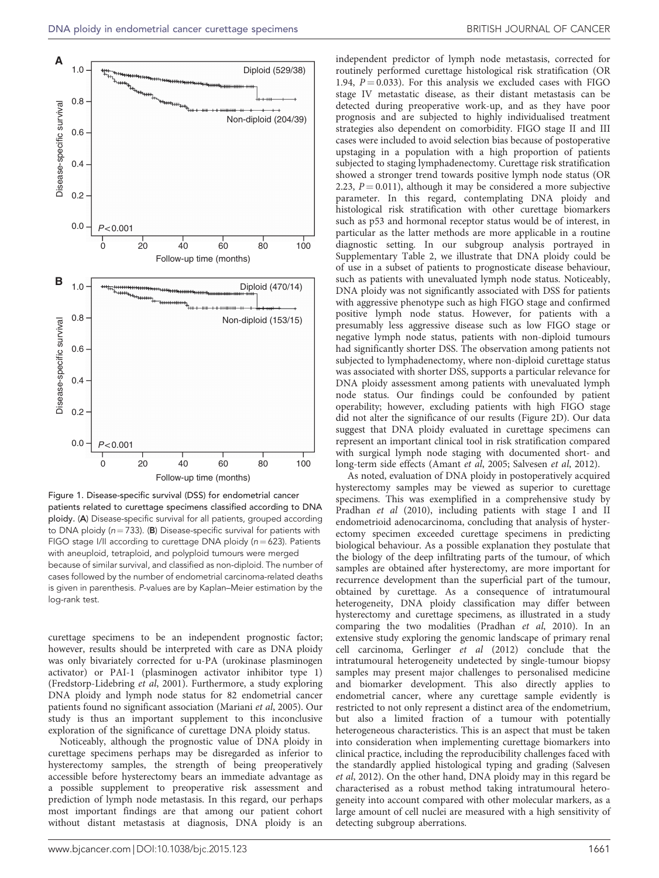<span id="page-5-0"></span>

Figure 1. Disease-specific survival (DSS) for endometrial cancer patients related to curettage specimens classified according to DNA ploidy. (A) Disease-specific survival for all patients, grouped according to DNA ploidy ( $n = 733$ ). (B) Disease-specific survival for patients with FIGO stage I/II according to curettage DNA ploidy ( $n = 623$ ). Patients with aneuploid, tetraploid, and polyploid tumours were merged because of similar survival, and classified as non-diploid. The number of cases followed by the number of endometrial carcinoma-related deaths is given in parenthesis. P-values are by Kaplan–Meier estimation by the log-rank test.

curettage specimens to be an independent prognostic factor; however, results should be interpreted with care as DNA ploidy was only bivariately corrected for u-PA (urokinase plasminogen activator) or PAI-1 (plasminogen activator inhibitor type 1) ([Fredstorp-Lidebring](#page-7-0) et al, 2001). Furthermore, a study exploring DNA ploidy and lymph node status for 82 endometrial cancer patients found no significant association ([Mariani](#page-7-0) et al, 2005). Our study is thus an important supplement to this inconclusive exploration of the significance of curettage DNA ploidy status.

Noticeably, although the prognostic value of DNA ploidy in curettage specimens perhaps may be disregarded as inferior to hysterectomy samples, the strength of being preoperatively accessible before hysterectomy bears an immediate advantage as a possible supplement to preoperative risk assessment and prediction of lymph node metastasis. In this regard, our perhaps most important findings are that among our patient cohort without distant metastasis at diagnosis, DNA ploidy is an

independent predictor of lymph node metastasis, corrected for routinely performed curettage histological risk stratification (OR 1.94,  $P = 0.033$ ). For this analysis we excluded cases with FIGO stage IV metastatic disease, as their distant metastasis can be detected during preoperative work-up, and as they have poor prognosis and are subjected to highly individualised treatment strategies also dependent on comorbidity. FIGO stage II and III cases were included to avoid selection bias because of postoperative upstaging in a population with a high proportion of patients subjected to staging lymphadenectomy. Curettage risk stratification showed a stronger trend towards positive lymph node status (OR 2.23,  $P = 0.011$ ), although it may be considered a more subjective parameter. In this regard, contemplating DNA ploidy and histological risk stratification with other curettage biomarkers such as p53 and hormonal receptor status would be of interest, in particular as the latter methods are more applicable in a routine diagnostic setting. In our subgroup analysis portrayed in Supplementary Table 2, we illustrate that DNA ploidy could be of use in a subset of patients to prognosticate disease behaviour, such as patients with unevaluated lymph node status. Noticeably, DNA ploidy was not significantly associated with DSS for patients with aggressive phenotype such as high FIGO stage and confirmed positive lymph node status. However, for patients with a presumably less aggressive disease such as low FIGO stage or negative lymph node status, patients with non-diploid tumours had significantly shorter DSS. The observation among patients not subjected to lymphadenectomy, where non-diploid curettage status was associated with shorter DSS, supports a particular relevance for DNA ploidy assessment among patients with unevaluated lymph node status. Our findings could be confounded by patient operability; however, excluding patients with high FIGO stage did not alter the significance of our results ([Figure 2D](#page-6-0)). Our data suggest that DNA ploidy evaluated in curettage specimens can represent an important clinical tool in risk stratification compared with surgical lymph node staging with documented short- and long-term side effects ([Amant](#page-7-0) et al, 2005; [Salvesen](#page-7-0) et al, 2012).

As noted, evaluation of DNA ploidy in postoperatively acquired hysterectomy samples may be viewed as superior to curettage specimens. This was exemplified in a comprehensive study by [Pradhan](#page-7-0) et al (2010), including patients with stage I and II endometrioid adenocarcinoma, concluding that analysis of hysterectomy specimen exceeded curettage specimens in predicting biological behaviour. As a possible explanation they postulate that the biology of the deep infiltrating parts of the tumour, of which samples are obtained after hysterectomy, are more important for recurrence development than the superficial part of the tumour, obtained by curettage. As a consequence of intratumoural heterogeneity, DNA ploidy classification may differ between hysterectomy and curettage specimens, as illustrated in a study comparing the two modalities [\(Pradhan](#page-7-0) et al, 2010). In an extensive study exploring the genomic landscape of primary renal cell carcinoma, [Gerlinger](#page-7-0) et al (2012) conclude that the intratumoural heterogeneity undetected by single-tumour biopsy samples may present major challenges to personalised medicine and biomarker development. This also directly applies to endometrial cancer, where any curettage sample evidently is restricted to not only represent a distinct area of the endometrium, but also a limited fraction of a tumour with potentially heterogeneous characteristics. This is an aspect that must be taken into consideration when implementing curettage biomarkers into clinical practice, including the reproducibility challenges faced with the standardly applied histological typing and grading ([Salvesen](#page-7-0) et al[, 2012\)](#page-7-0). On the other hand, DNA ploidy may in this regard be characterised as a robust method taking intratumoural heterogeneity into account compared with other molecular markers, as a large amount of cell nuclei are measured with a high sensitivity of detecting subgroup aberrations.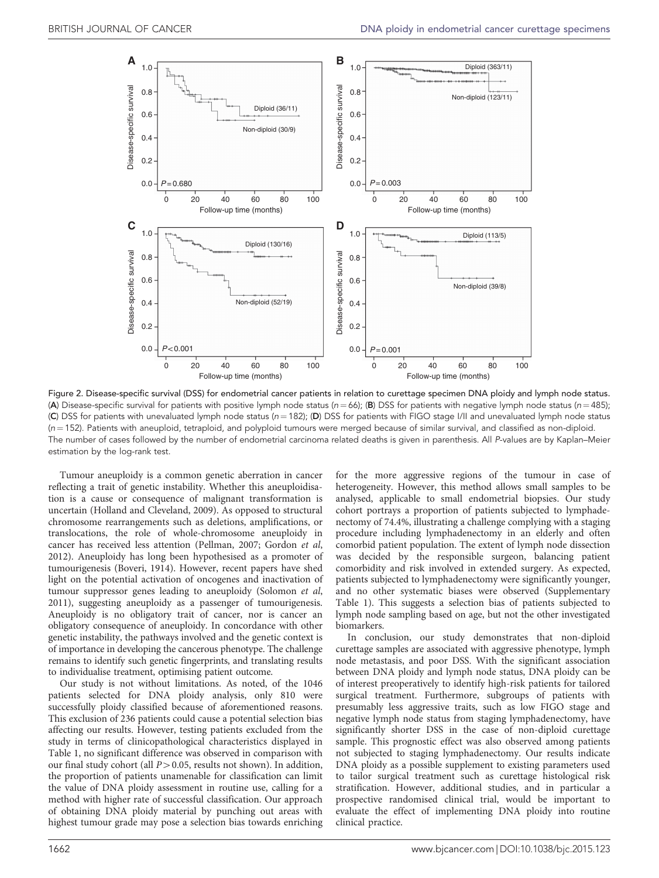<span id="page-6-0"></span>

Figure 2. Disease-specific survival (DSS) for endometrial cancer patients in relation to curettage specimen DNA ploidy and lymph node status. (A) Disease-specific survival for patients with positive lymph node status ( $n = 66$ ); (B) DSS for patients with negative lymph node status ( $n = 485$ ); (C) DSS for patients with unevaluated lymph node status (n = 182); (D) DSS for patients with FIGO stage I/II and unevaluated lymph node status  $(n = 152)$ . Patients with aneuploid, tetraploid, and polyploid tumours were merged because of similar survival, and classified as non-diploid. The number of cases followed by the number of endometrial carcinoma related deaths is given in parenthesis. All P-values are by Kaplan–Meier estimation by the log-rank test.

Tumour aneuploidy is a common genetic aberration in cancer reflecting a trait of genetic instability. Whether this aneuploidisation is a cause or consequence of malignant transformation is uncertain ([Holland and Cleveland, 2009\)](#page-7-0). As opposed to structural chromosome rearrangements such as deletions, amplifications, or translocations, the role of whole-chromosome aneuploidy in cancer has received less attention [\(Pellman, 2007; Gordon](#page-7-0) et al, [2012](#page-7-0)). Aneuploidy has long been hypothesised as a promoter of tumourigenesis ([Boveri, 1914\)](#page-7-0). However, recent papers have shed light on the potential activation of oncogenes and inactivation of tumour suppressor genes leading to aneuploidy ([Solomon](#page-7-0) et al, [2011](#page-7-0)), suggesting aneuploidy as a passenger of tumourigenesis. Aneuploidy is no obligatory trait of cancer, nor is cancer an obligatory consequence of aneuploidy. In concordance with other genetic instability, the pathways involved and the genetic context is of importance in developing the cancerous phenotype. The challenge remains to identify such genetic fingerprints, and translating results to individualise treatment, optimising patient outcome.

Our study is not without limitations. As noted, of the 1046 patients selected for DNA ploidy analysis, only 810 were successfully ploidy classified because of aforementioned reasons. This exclusion of 236 patients could cause a potential selection bias affecting our results. However, testing patients excluded from the study in terms of clinicopathological characteristics displayed in [Table 1](#page-2-0), no significant difference was observed in comparison with our final study cohort (all  $P > 0.05$ , results not shown). In addition, the proportion of patients unamenable for classification can limit the value of DNA ploidy assessment in routine use, calling for a method with higher rate of successful classification. Our approach of obtaining DNA ploidy material by punching out areas with highest tumour grade may pose a selection bias towards enriching

for the more aggressive regions of the tumour in case of heterogeneity. However, this method allows small samples to be analysed, applicable to small endometrial biopsies. Our study cohort portrays a proportion of patients subjected to lymphadenectomy of 74.4%, illustrating a challenge complying with a staging procedure including lymphadenectomy in an elderly and often comorbid patient population. The extent of lymph node dissection was decided by the responsible surgeon, balancing patient comorbidity and risk involved in extended surgery. As expected, patients subjected to lymphadenectomy were significantly younger, and no other systematic biases were observed (Supplementary Table 1). This suggests a selection bias of patients subjected to lymph node sampling based on age, but not the other investigated biomarkers.

In conclusion, our study demonstrates that non-diploid curettage samples are associated with aggressive phenotype, lymph node metastasis, and poor DSS. With the significant association between DNA ploidy and lymph node status, DNA ploidy can be of interest preoperatively to identify high-risk patients for tailored surgical treatment. Furthermore, subgroups of patients with presumably less aggressive traits, such as low FIGO stage and negative lymph node status from staging lymphadenectomy, have significantly shorter DSS in the case of non-diploid curettage sample. This prognostic effect was also observed among patients not subjected to staging lymphadenectomy. Our results indicate DNA ploidy as a possible supplement to existing parameters used to tailor surgical treatment such as curettage histological risk stratification. However, additional studies, and in particular a prospective randomised clinical trial, would be important to evaluate the effect of implementing DNA ploidy into routine clinical practice.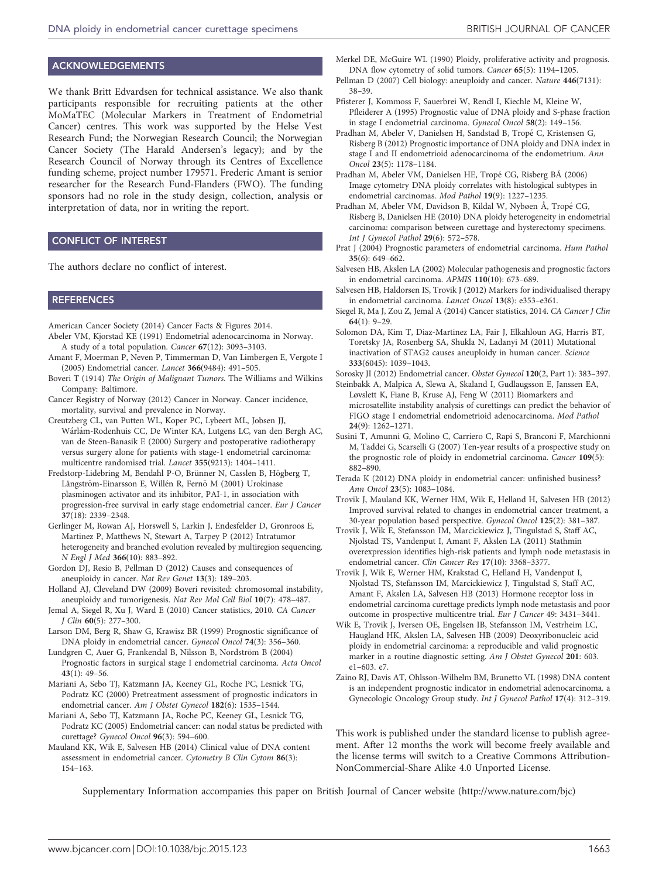#### <span id="page-7-0"></span>ACKNOWLEDGEMENTS

We thank Britt Edvardsen for technical assistance. We also thank participants responsible for recruiting patients at the other MoMaTEC (Molecular Markers in Treatment of Endometrial Cancer) centres. This work was supported by the Helse Vest Research Fund; the Norwegian Research Council; the Norwegian Cancer Society (The Harald Andersen's legacy); and by the Research Council of Norway through its Centres of Excellence funding scheme, project number 179571. Frederic Amant is senior researcher for the Research Fund-Flanders (FWO). The funding sponsors had no role in the study design, collection, analysis or interpretation of data, nor in writing the report.

#### CONFLICT OF INTEREST

The authors declare no conflict of interest.

#### **REFERENCES**

- American Cancer Society (2014) Cancer Facts & Figures 2014.
- Abeler VM, Kjorstad KE (1991) Endometrial adenocarcinoma in Norway. A study of a total population. Cancer 67(12): 3093–3103.
- Amant F, Moerman P, Neven P, Timmerman D, Van Limbergen E, Vergote I (2005) Endometrial cancer. Lancet 366(9484): 491–505.
- Boveri T (1914) The Origin of Malignant Tumors. The Williams and Wilkins Company: Baltimore.
- Cancer Registry of Norway (2012) Cancer in Norway. Cancer incidence, mortality, survival and prevalence in Norway.
- Creutzberg CL, van Putten WL, Koper PC, Lybeert ML, Jobsen JJ, Wárlám-Rodenhuis CC, De Winter KA, Lutgens LC, van den Bergh AC, van de Steen-Banasik E (2000) Surgery and postoperative radiotherapy versus surgery alone for patients with stage-1 endometrial carcinoma: multicentre randomised trial. Lancet 355(9213): 1404–1411.
- Fredstorp-Lidebring M, Bendahl P-O, Brünner N, Casslen B, Högberg T, Långström-Einarsson E, Willén R, Fernö M (2001) Urokinase plasminogen activator and its inhibitor, PAI-1, in association with progression-free survival in early stage endometrial cancer. Eur J Cancer 37(18): 2339–2348.
- Gerlinger M, Rowan AJ, Horswell S, Larkin J, Endesfelder D, Gronroos E, Martinez P, Matthews N, Stewart A, Tarpey P (2012) Intratumor heterogeneity and branched evolution revealed by multiregion sequencing. N Engl J Med 366(10): 883–892.
- Gordon DJ, Resio B, Pellman D (2012) Causes and consequences of aneuploidy in cancer. Nat Rev Genet 13(3): 189-203.
- Holland AJ, Cleveland DW (2009) Boveri revisited: chromosomal instability, aneuploidy and tumorigenesis. Nat Rev Mol Cell Biol 10(7): 478–487.
- Jemal A, Siegel R, Xu J, Ward E (2010) Cancer statistics, 2010. CA Cancer J Clin 60(5): 277–300.
- Larson DM, Berg R, Shaw G, Krawisz BR (1999) Prognostic significance of DNA ploidy in endometrial cancer. Gynecol Oncol 74(3): 356–360.
- Lundgren C, Auer G, Frankendal B, Nilsson B, Nordström B (2004) Prognostic factors in surgical stage I endometrial carcinoma. Acta Oncol 43(1): 49–56.
- Mariani A, Sebo TJ, Katzmann JA, Keeney GL, Roche PC, Lesnick TG, Podratz KC (2000) Pretreatment assessment of prognostic indicators in endometrial cancer. Am J Obstet Gynecol 182(6): 1535-1544.
- Mariani A, Sebo TJ, Katzmann JA, Roche PC, Keeney GL, Lesnick TG, Podratz KC (2005) Endometrial cancer: can nodal status be predicted with curettage? Gynecol Oncol 96(3): 594–600.
- Mauland KK, Wik E, Salvesen HB (2014) Clinical value of DNA content assessment in endometrial cancer. Cytometry B Clin Cytom 86(3): 154–163.

Merkel DE, McGuire WL (1990) Ploidy, proliferative activity and prognosis. DNA flow cytometry of solid tumors. Cancer 65(5): 1194–1205.

- Pellman D (2007) Cell biology: aneuploidy and cancer. Nature 446(7131): 38–39.
- Pfisterer J, Kommoss F, Sauerbrei W, Rendl I, Kiechle M, Kleine W, Pfleiderer A (1995) Prognostic value of DNA ploidy and S-phase fraction in stage I endometrial carcinoma. Gynecol Oncol 58(2): 149–156.
- Pradhan M, Abeler V, Danielsen H, Sandstad B, Tropé C, Kristensen G, Risberg B (2012) Prognostic importance of DNA ploidy and DNA index in stage I and II endometrioid adenocarcinoma of the endometrium. Ann Oncol 23(5): 1178–1184.
- Pradhan M, Abeler VM, Danielsen HE, Tropé CG, Risberg BÅ (2006) Image cytometry DNA ploidy correlates with histological subtypes in endometrial carcinomas. Mod Pathol 19(9): 1227–1235.
- Pradhan M, Abeler VM, Davidson B, Kildal W, Nybøen Å, Tropé CG, Risberg B, Danielsen HE (2010) DNA ploidy heterogeneity in endometrial carcinoma: comparison between curettage and hysterectomy specimens. Int J Gynecol Pathol 29(6): 572–578.
- Prat J (2004) Prognostic parameters of endometrial carcinoma. Hum Pathol  $35(6)$ : 649–662.
- Salvesen HB, Akslen LA (2002) Molecular pathogenesis and prognostic factors in endometrial carcinoma. APMIS 110(10): 673–689.
- Salvesen HB, Haldorsen IS, Trovik J (2012) Markers for individualised therapy in endometrial carcinoma. Lancet Oncol 13(8): e353–e361.
- Siegel R, Ma J, Zou Z, Jemal A (2014) Cancer statistics, 2014. CA Cancer J Clin 64(1): 9–29.
- Solomon DA, Kim T, Diaz-Martinez LA, Fair J, Elkahloun AG, Harris BT, Toretsky JA, Rosenberg SA, Shukla N, Ladanyi M (2011) Mutational inactivation of STAG2 causes aneuploidy in human cancer. Science 333(6045): 1039–1043.
- Sorosky JI (2012) Endometrial cancer. Obstet Gynecol 120(2, Part 1): 383–397.
- Steinbakk A, Malpica A, Slewa A, Skaland I, Gudlaugsson E, Janssen EA, Løvslett K, Fiane B, Kruse AJ, Feng W (2011) Biomarkers and microsatellite instability analysis of curettings can predict the behavior of FIGO stage I endometrial endometrioid adenocarcinoma. Mod Pathol 24(9): 1262–1271.
- Susini T, Amunni G, Molino C, Carriero C, Rapi S, Branconi F, Marchionni M, Taddei G, Scarselli G (2007) Ten-year results of a prospective study on the prognostic role of ploidy in endometrial carcinoma. Cancer 109(5): 882–890.
- Terada K (2012) DNA ploidy in endometrial cancer: unfinished business? Ann Oncol 23(5): 1083–1084.
- Trovik J, Mauland KK, Werner HM, Wik E, Helland H, Salvesen HB (2012) Improved survival related to changes in endometrial cancer treatment, a 30-year population based perspective. Gynecol Oncol 125(2): 381–387.
- Trovik J, Wik E, Stefansson IM, Marcickiewicz J, Tingulstad S, Staff AC, Njolstad TS, Vandenput I, Amant F, Akslen LA (2011) Stathmin overexpression identifies high-risk patients and lymph node metastasis in endometrial cancer. Clin Cancer Res 17(10): 3368–3377.
- Trovik J, Wik E, Werner HM, Krakstad C, Helland H, Vandenput I, Njolstad TS, Stefansson IM, Marcickiewicz J, Tingulstad S, Staff AC, Amant F, Akslen LA, Salvesen HB (2013) Hormone receptor loss in endometrial carcinoma curettage predicts lymph node metastasis and poor outcome in prospective multicentre trial. Eur J Cancer 49: 3431–3441.
- Wik E, Trovik J, Iversen OE, Engelsen IB, Stefansson IM, Vestrheim LC, Haugland HK, Akslen LA, Salvesen HB (2009) Deoxyribonucleic acid ploidy in endometrial carcinoma: a reproducible and valid prognostic marker in a routine diagnostic setting. Am J Obstet Gynecol 201: 603. e1–603. e7.
- Zaino RJ, Davis AT, Ohlsson-Wilhelm BM, Brunetto VL (1998) DNA content is an independent prognostic indicator in endometrial adenocarcinoma. a Gynecologic Oncology Group study. Int J Gynecol Pathol 17(4): 312–319.

This work is published under the standard license to publish agreement. After 12 months the work will become freely available and the license terms will switch to a Creative Commons Attribution-NonCommercial-Share Alike 4.0 Unported License.

Supplementary Information accompanies this paper on British Journal of Cancer website [\(http://www.nature.com/bjc](http://www.nature.com/bjc))